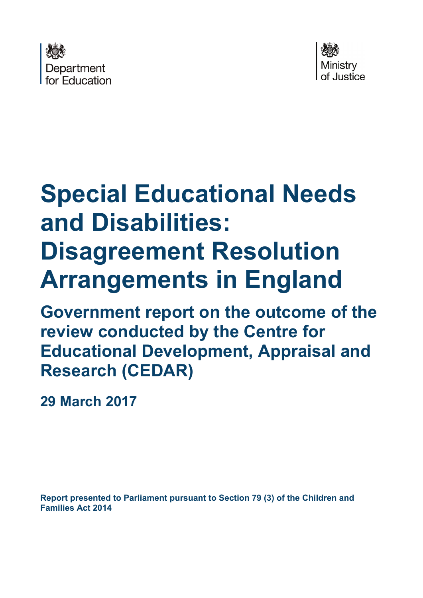



# **Special Educational Needs and Disabilities: Disagreement Resolution Arrangements in England**

**Government report on the outcome of the review conducted by the Centre for Educational Development, Appraisal and Research (CEDAR)** 

**29 March 2017** 

**Report presented to Parliament pursuant to Section 79 (3) of the Children and Families Act 2014**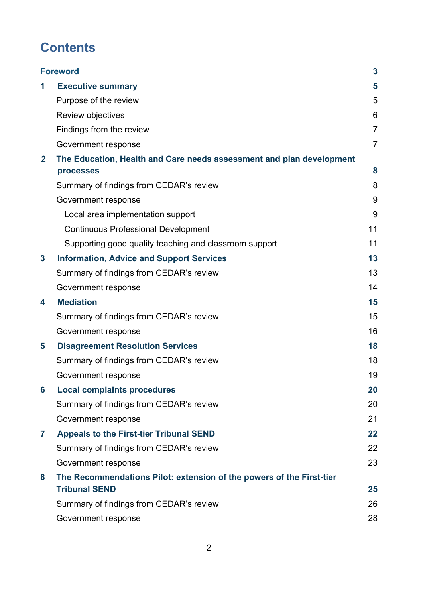# **Contents**

|              | <b>Foreword</b>                                                                              | 3              |
|--------------|----------------------------------------------------------------------------------------------|----------------|
| 1            | <b>Executive summary</b>                                                                     | 5              |
|              | Purpose of the review                                                                        | 5              |
|              | Review objectives                                                                            | 6              |
|              | Findings from the review                                                                     | $\overline{7}$ |
|              | Government response                                                                          | $\overline{7}$ |
| $\mathbf{2}$ | The Education, Health and Care needs assessment and plan development                         |                |
|              | processes                                                                                    | 8              |
|              | Summary of findings from CEDAR's review                                                      | 8              |
|              | Government response                                                                          | 9              |
|              | Local area implementation support                                                            | 9              |
|              | <b>Continuous Professional Development</b>                                                   | 11             |
|              | Supporting good quality teaching and classroom support                                       | 11             |
| 3            | <b>Information, Advice and Support Services</b>                                              | 13             |
|              | Summary of findings from CEDAR's review                                                      | 13             |
|              | Government response                                                                          | 14             |
| 4            | <b>Mediation</b>                                                                             | 15             |
|              | Summary of findings from CEDAR's review                                                      | 15             |
|              | Government response                                                                          | 16             |
| 5            | <b>Disagreement Resolution Services</b>                                                      | 18             |
|              | Summary of findings from CEDAR's review                                                      | 18             |
|              | Government response                                                                          | 19             |
| 6            | <b>Local complaints procedures</b>                                                           | 20             |
|              | Summary of findings from CEDAR's review                                                      | 20             |
|              | Government response                                                                          | 21             |
| 7            | <b>Appeals to the First-tier Tribunal SEND</b>                                               | 22             |
|              | Summary of findings from CEDAR's review                                                      | 22             |
|              | Government response                                                                          | 23             |
| 8            | The Recommendations Pilot: extension of the powers of the First-tier<br><b>Tribunal SEND</b> | 25             |
|              | Summary of findings from CEDAR's review                                                      | 26             |
|              | Government response                                                                          | 28             |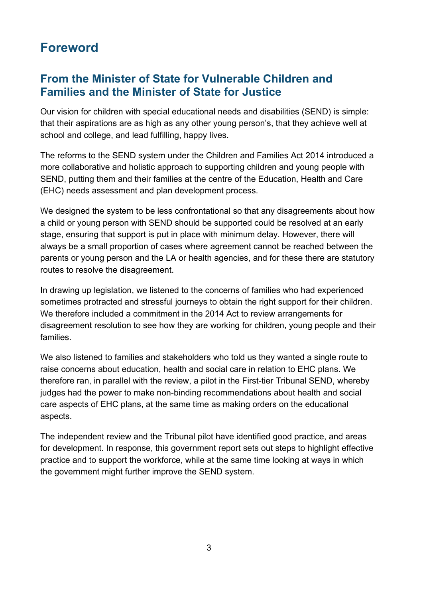# <span id="page-2-0"></span>**Foreword**

#### **From the Minister of State for Vulnerable Children and Families and the Minister of State for Justice**

Our vision for children with special educational needs and disabilities (SEND) is simple: that their aspirations are as high as any other young person's, that they achieve well at school and college, and lead fulfilling, happy lives.

The reforms to the SEND system under the Children and Families Act 2014 introduced a more collaborative and holistic approach to supporting children and young people with SEND, putting them and their families at the centre of the Education, Health and Care (EHC) needs assessment and plan development process.

We designed the system to be less confrontational so that any disagreements about how a child or young person with SEND should be supported could be resolved at an early stage, ensuring that support is put in place with minimum delay. However, there will always be a small proportion of cases where agreement cannot be reached between the parents or young person and the LA or health agencies, and for these there are statutory routes to resolve the disagreement.

In drawing up legislation, we listened to the concerns of families who had experienced sometimes protracted and stressful journeys to obtain the right support for their children. We therefore included a commitment in the 2014 Act to review arrangements for disagreement resolution to see how they are working for children, young people and their families.

We also listened to families and stakeholders who told us they wanted a single route to raise concerns about education, health and social care in relation to EHC plans. We therefore ran, in parallel with the review, a pilot in the First-tier Tribunal SEND, whereby judges had the power to make non-binding recommendations about health and social care aspects of EHC plans, at the same time as making orders on the educational aspects.

The independent review and the Tribunal pilot have identified good practice, and areas for development. In response, this government report sets out steps to highlight effective practice and to support the workforce, while at the same time looking at ways in which the government might further improve the SEND system.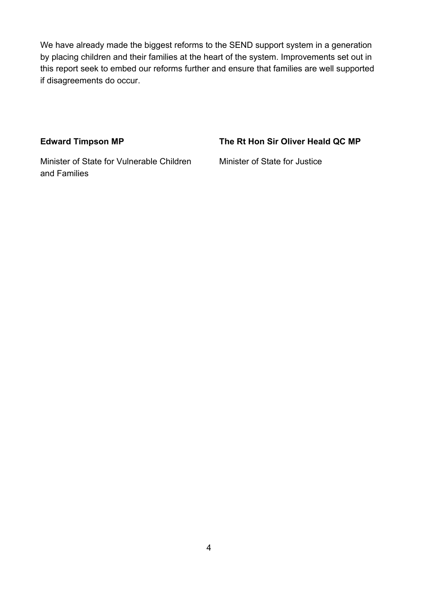We have already made the biggest reforms to the SEND support system in a generation by placing children and their families at the heart of the system. Improvements set out in this report seek to embed our reforms further and ensure that families are well supported if disagreements do occur.

#### Edward Timpson MP The Rt Hon Sir Oliver Heald QC MP

Minister of State for Vulnerable Children Minister of State for Justice and Families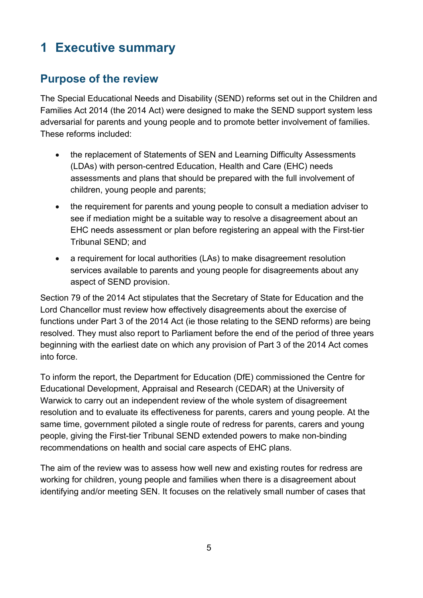# <span id="page-4-0"></span>**1 Executive summary**

#### <span id="page-4-1"></span>**Purpose of the review**

The Special Educational Needs and Disability (SEND) reforms set out in the Children and Families Act 2014 (the 2014 Act) were designed to make the SEND support system less adversarial for parents and young people and to promote better involvement of families. These reforms included:

- the replacement of Statements of SEN and Learning Difficulty Assessments (LDAs) with person-centred Education, Health and Care (EHC) needs assessments and plans that should be prepared with the full involvement of children, young people and parents;
- the requirement for parents and young people to consult a mediation adviser to see if mediation might be a suitable way to resolve a disagreement about an EHC needs assessment or plan before registering an appeal with the First-tier Tribunal SEND; and
- a requirement for local authorities (LAs) to make disagreement resolution services available to parents and young people for disagreements about any aspect of SEND provision.

Section 79 of the 2014 Act stipulates that the Secretary of State for Education and the Lord Chancellor must review how effectively disagreements about the exercise of functions under Part 3 of the 2014 Act (ie those relating to the SEND reforms) are being resolved. They must also report to Parliament before the end of the period of three years beginning with the earliest date on which any provision of Part 3 of the 2014 Act comes into force.

To inform the report, the Department for Education (DfE) commissioned the Centre for Educational Development, Appraisal and Research (CEDAR) at the University of Warwick to carry out an independent review of the whole system of disagreement resolution and to evaluate its effectiveness for parents, carers and young people. At the same time, government piloted a single route of redress for parents, carers and young people, giving the First-tier Tribunal SEND extended powers to make non-binding recommendations on health and social care aspects of EHC plans.

The aim of the review was to assess how well new and existing routes for redress are working for children, young people and families when there is a disagreement about identifying and/or meeting SEN. It focuses on the relatively small number of cases that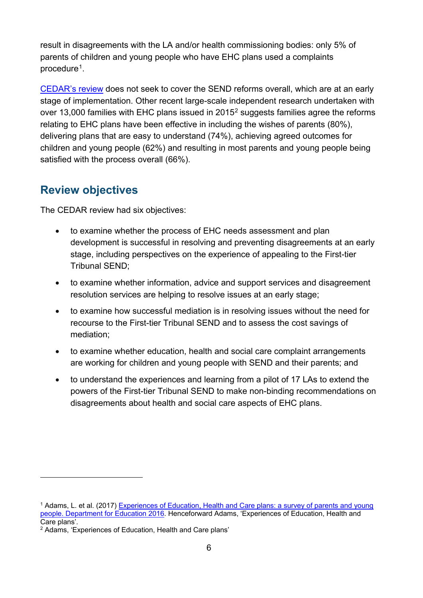result in disagreements with the LA and/or health commissioning bodies: only 5% of parents of children and young people who have EHC plans used a complaints procedure<sup>1</sup>.

[CEDAR's review](https://www.gov.uk/government/uploads/system/uploads/attachment_data/file/603487/CEDAR_review.pdf) does not seek to cover the SEND reforms overall, which are at an early stage of implementation. Other recent large-scale independent research undertaken with over 13,000 families with EHC plans issued in [2](#page-5-2)015<sup>2</sup> suggests families agree the reforms relating to EHC plans have been effective in including the wishes of parents (80%), delivering plans that are easy to understand (74%), achieving agreed outcomes for children and young people (62%) and resulting in most parents and young people being satisfied with the process overall (66%).

#### <span id="page-5-0"></span>**Review objectives**

The CEDAR review had six objectives:

- to examine whether the process of EHC needs assessment and plan development is successful in resolving and preventing disagreements at an early stage, including perspectives on the experience of appealing to the First-tier Tribunal SEND;
- to examine whether information, advice and support services and disagreement resolution services are helping to resolve issues at an early stage;
- to examine how successful mediation is in resolving issues without the need for recourse to the First-tier Tribunal SEND and to assess the cost savings of mediation;
- to examine whether education, health and social care complaint arrangements are working for children and young people with SEND and their parents; and
- to understand the experiences and learning from a pilot of 17 LAs to extend the powers of the First-tier Tribunal SEND to make non-binding recommendations on disagreements about health and social care aspects of EHC plans.

 $\overline{a}$ 

<span id="page-5-1"></span><sup>1</sup> Adams, L. et al. (2017) [Experiences of Education, Health and Care plans: a survey of parents and young](https://www.gov.uk/government/publications/education-health-and-care-plans-parents-and-young-people-survey)  [people. Department for Education 2016.](https://www.gov.uk/government/publications/education-health-and-care-plans-parents-and-young-people-survey) Henceforward Adams, 'Experiences of Education, Health and Care plans'.

<span id="page-5-2"></span><sup>2</sup> Adams, 'Experiences of Education, Health and Care plans'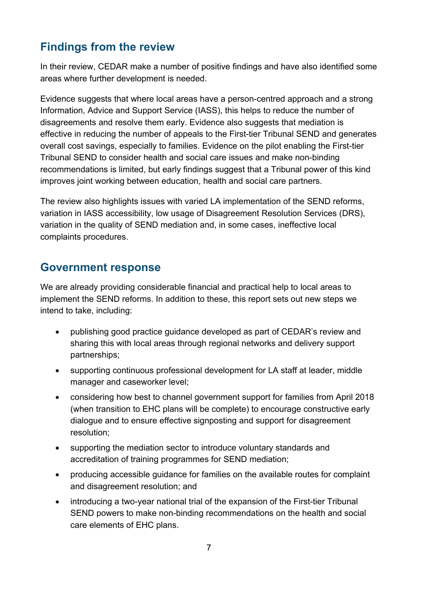### <span id="page-6-0"></span>**Findings from the review**

In their review, CEDAR make a number of positive findings and have also identified some areas where further development is needed.

Evidence suggests that where local areas have a person-centred approach and a strong Information, Advice and Support Service (IASS), this helps to reduce the number of disagreements and resolve them early. Evidence also suggests that mediation is effective in reducing the number of appeals to the First-tier Tribunal SEND and generates overall cost savings, especially to families. Evidence on the pilot enabling the First-tier Tribunal SEND to consider health and social care issues and make non-binding recommendations is limited, but early findings suggest that a Tribunal power of this kind improves joint working between education, health and social care partners.

The review also highlights issues with varied LA implementation of the SEND reforms, variation in IASS accessibility, low usage of Disagreement Resolution Services (DRS), variation in the quality of SEND mediation and, in some cases, ineffective local complaints procedures.

#### <span id="page-6-1"></span>**Government response**

We are already providing considerable financial and practical help to local areas to implement the SEND reforms. In addition to these, this report sets out new steps we intend to take, including:

- publishing good practice guidance developed as part of CEDAR's review and sharing this with local areas through regional networks and delivery support partnerships;
- supporting continuous professional development for LA staff at leader, middle manager and caseworker level;
- considering how best to channel government support for families from April 2018 (when transition to EHC plans will be complete) to encourage constructive early dialogue and to ensure effective signposting and support for disagreement resolution;
- supporting the mediation sector to introduce voluntary standards and accreditation of training programmes for SEND mediation;
- producing accessible guidance for families on the available routes for complaint and disagreement resolution; and
- introducing a two-year national trial of the expansion of the First-tier Tribunal SEND powers to make non-binding recommendations on the health and social care elements of EHC plans.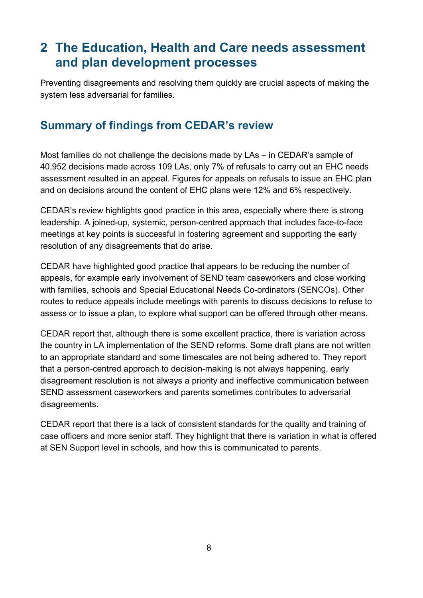# <span id="page-7-0"></span>**2 The Education, Health and Care needs assessment and plan development processes**

Preventing disagreements and resolving them quickly are crucial aspects of making the system less adversarial for families.

#### <span id="page-7-1"></span>**Summary of findings from CEDAR's review**

Most families do not challenge the decisions made by LAs – in CEDAR's sample of 40,952 decisions made across 109 LAs, only 7% of refusals to carry out an EHC needs assessment resulted in an appeal. Figures for appeals on refusals to issue an EHC plan and on decisions around the content of EHC plans were 12% and 6% respectively.

CEDAR's review highlights good practice in this area, especially where there is strong leadership. A joined-up, systemic, person-centred approach that includes face-to-face meetings at key points is successful in fostering agreement and supporting the early resolution of any disagreements that do arise.

CEDAR have highlighted good practice that appears to be reducing the number of appeals, for example early involvement of SEND team caseworkers and close working with families, schools and Special Educational Needs Co-ordinators (SENCOs). Other routes to reduce appeals include meetings with parents to discuss decisions to refuse to assess or to issue a plan, to explore what support can be offered through other means.

CEDAR report that, although there is some excellent practice, there is variation across the country in LA implementation of the SEND reforms. Some draft plans are not written to an appropriate standard and some timescales are not being adhered to. They report that a person-centred approach to decision-making is not always happening, early disagreement resolution is not always a priority and ineffective communication between SEND assessment caseworkers and parents sometimes contributes to adversarial disagreements.

CEDAR report that there is a lack of consistent standards for the quality and training of case officers and more senior staff. They highlight that there is variation in what is offered at SEN Support level in schools, and how this is communicated to parents.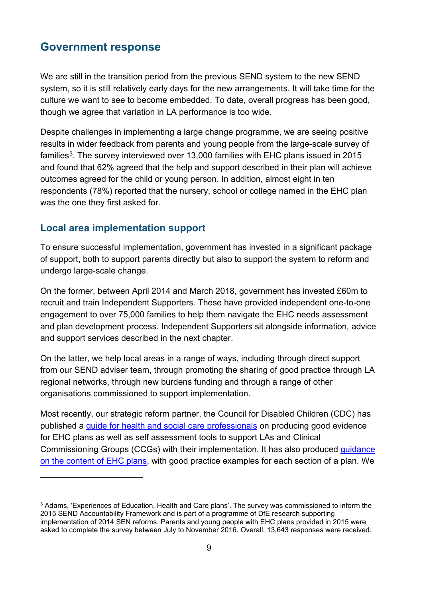<span id="page-8-0"></span>We are still in the transition period from the previous SEND system to the new SEND system, so it is still relatively early days for the new arrangements. It will take time for the culture we want to see to become embedded. To date, overall progress has been good, though we agree that variation in LA performance is too wide.

Despite challenges in implementing a large change programme, we are seeing positive results in wider feedback from parents and young people from the large-scale survey of families<sup>[3](#page-8-2)</sup>. The survey interviewed over 13,000 families with EHC plans issued in 2015 and found that 62% agreed that the help and support described in their plan will achieve outcomes agreed for the child or young person. In addition, almost eight in ten respondents (78%) reported that the nursery, school or college named in the EHC plan was the one they first asked for.

#### <span id="page-8-1"></span>**Local area implementation support**

 $\overline{a}$ 

To ensure successful implementation, government has invested in a significant package of support, both to support parents directly but also to support the system to reform and undergo large-scale change.

On the former, between April 2014 and March 2018, government has invested £60m to recruit and train Independent Supporters. These have provided independent one-to-one engagement to over 75,000 families to help them navigate the EHC needs assessment and plan development process. Independent Supporters sit alongside information, advice and support services described in the next chapter.

On the latter, we help local areas in a range of ways, including through direct support from our SEND adviser team, through promoting the sharing of good practice through LA regional networks, through new burdens funding and through a range of other organisations commissioned to support implementation.

Most recently, our strategic reform partner, the Council for Disabled Children (CDC) has published a [guide for health and social care professionals](https://councilfordisabledchildren.org.uk/help-resources/resources/identifying-social-care-needs-disabled-children-and-young-people) on producing good evidence for EHC plans as well as self assessment tools to support LAs and Clinical Commissioning Groups (CCGs) with their implementation. It has also produced [guidance](https://councilfordisabledchildren.org.uk/help-resources/resources/education-health-and-care-plans-examples-good-practice)  [on the content of EHC plans,](https://councilfordisabledchildren.org.uk/help-resources/resources/education-health-and-care-plans-examples-good-practice) with good practice examples for each section of a plan. We

<span id="page-8-2"></span><sup>&</sup>lt;sup>3</sup> Adams, 'Experiences of Education, Health and Care plans'. The survey was commissioned to inform the 2015 SEND Accountability Framework and is part of a programme of DfE research supporting implementation of 2014 SEN reforms. Parents and young people with EHC plans provided in 2015 were asked to complete the survey between July to November 2016. Overall, 13,643 responses were received.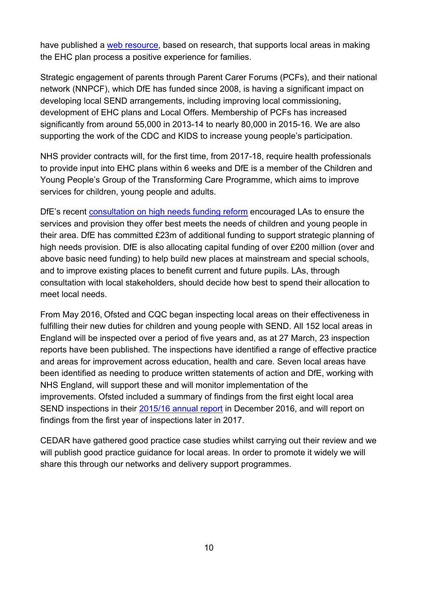have published a [web resource,](http://ehcpjourneys.com/wp-content/uploads/2016/04/Service-practice-checklist.pdf) based on research, that supports local areas in making the EHC plan process a positive experience for families.

Strategic engagement of parents through Parent Carer Forums (PCFs), and their national network (NNPCF), which DfE has funded since 2008, is having a significant impact on developing local SEND arrangements, including improving local commissioning, development of EHC plans and Local Offers. Membership of PCFs has increased significantly from around 55,000 in 2013-14 to nearly 80,000 in 2015-16. We are also supporting the work of the CDC and KIDS to increase young people's participation.

NHS provider contracts will, for the first time, from 2017-18, require health professionals to provide input into EHC plans within 6 weeks and DfE is a member of the Children and Young People's Group of the Transforming Care Programme, which aims to improve services for children, young people and adults.

DfE's recent [consultation on high needs funding reform](https://consult.education.gov.uk/funding-policy-unit/high-needs-funding-reform-2/) encouraged LAs to ensure the services and provision they offer best meets the needs of children and young people in their area. DfE has committed £23m of additional funding to support strategic planning of high needs provision. DfE is also allocating capital funding of over £200 million (over and above basic need funding) to help build new places at mainstream and special schools, and to improve existing places to benefit current and future pupils. LAs, through consultation with local stakeholders, should decide how best to spend their allocation to meet local needs.

From May 2016, Ofsted and CQC began inspecting local areas on their effectiveness in fulfilling their new duties for children and young people with SEND. All 152 local areas in England will be inspected over a period of five years and, as at 27 March, 23 inspection reports have been published. The inspections have identified a range of effective practice and areas for improvement across education, health and care. Seven local areas have been identified as needing to produce written statements of action and DfE, working with NHS England, will support these and will monitor implementation of the improvements. Ofsted included a summary of findings from the first eight local area SEND inspections in their [2015/16 annual report](https://www.gov.uk/government/publications/ofsted-annual-report-201516-education-early-years-and-skills) in December 2016, and will report on findings from the first year of inspections later in 2017.

<span id="page-9-0"></span>CEDAR have gathered good practice case studies whilst carrying out their review and we will publish good practice guidance for local areas. In order to promote it widely we will share this through our networks and delivery support programmes.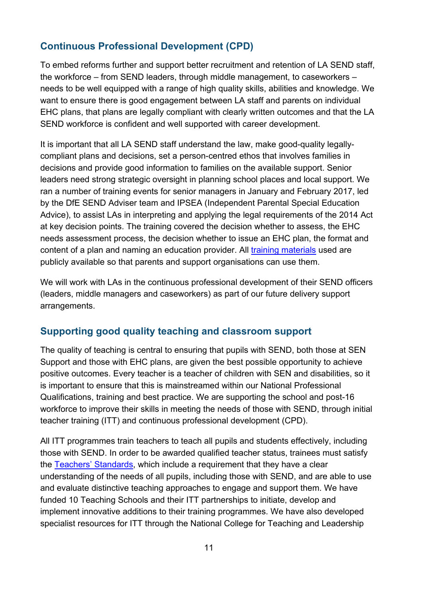#### **Continuous Professional Development (CPD)**

To embed reforms further and support better recruitment and retention of LA SEND staff, the workforce – from SEND leaders, through middle management, to caseworkers – needs to be well equipped with a range of high quality skills, abilities and knowledge. We want to ensure there is good engagement between LA staff and parents on individual EHC plans, that plans are legally compliant with clearly written outcomes and that the LA SEND workforce is confident and well supported with career development.

It is important that all LA SEND staff understand the law, make good-quality legallycompliant plans and decisions, set a person-centred ethos that involves families in decisions and provide good information to families on the available support. Senior leaders need strong strategic oversight in planning school places and local support. We ran a number of training events for senior managers in January and February 2017, led by the DfE SEND Adviser team and IPSEA (Independent Parental Special Education Advice), to assist LAs in interpreting and applying the legal requirements of the 2014 Act at key decision points. The training covered the decision whether to assess, the EHC needs assessment process, the decision whether to issue an EHC plan, the format and content of a plan and naming an education provider. All [training materials](http://www.sendpathfinder.co.uk/send-decision-making-and-the-law-workshops) used are publicly available so that parents and support organisations can use them.

We will work with LAs in the continuous professional development of their SEND officers (leaders, middle managers and caseworkers) as part of our future delivery support arrangements.

#### <span id="page-10-0"></span>**Supporting good quality teaching and classroom support**

The quality of teaching is central to ensuring that pupils with SEND, both those at SEN Support and those with EHC plans, are given the best possible opportunity to achieve positive outcomes. Every teacher is a teacher of children with SEN and disabilities, so it is important to ensure that this is mainstreamed within our National Professional Qualifications, training and best practice. We are supporting the school and post-16 workforce to improve their skills in meeting the needs of those with SEND, through initial teacher training (ITT) and continuous professional development (CPD).

All ITT programmes train teachers to teach all pupils and students effectively, including those with SEND. In order to be awarded qualified teacher status, trainees must satisfy the [Teachers' Standards,](http://www.gov.uk/government/publications/teachers-standards) which include a requirement that they have a clear understanding of the needs of all pupils, including those with SEND, and are able to use and evaluate distinctive teaching approaches to engage and support them. We have funded 10 Teaching Schools and their ITT partnerships to initiate, develop and implement innovative additions to their training programmes. We have also developed specialist resources for ITT through the National College for Teaching and Leadership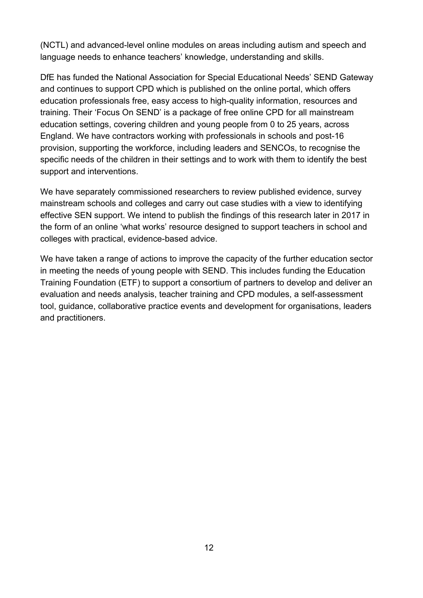(NCTL) and advanced-level online modules on areas including autism and speech and language needs to enhance teachers' knowledge, understanding and skills.

DfE has funded the National Association for Special Educational Needs' [SEND Gateway](http://www.sendgateway.org.uk/) and continues to support CPD which is published on the online portal, which offers education professionals free, easy access to high-quality information, resources and training. Their ['Focus On SEND'](http://www.nasen.org.uk/newsviews/newsviews.free-send-training-for-all-practitioners.html) is a package of free online CPD for all mainstream education settings, covering children and young people from 0 to 25 years, across England. We have contractors working with professionals in schools and post-16 provision, supporting the workforce, including leaders and SENCOs, to recognise the specific needs of the children in their settings and to work with them to identify the best support and interventions.

We have separately commissioned researchers to review published evidence, survey mainstream schools and colleges and carry out case studies with a view to identifying effective SEN support. We intend to publish the findings of this research later in 2017 in the form of an online 'what works' resource designed to support teachers in school and colleges with practical, evidence-based advice.

We have taken a range of actions to improve the capacity of the further education sector in meeting the needs of young people with SEND. This includes funding the Education Training Foundation (ETF) to support a consortium of partners to develop and deliver an evaluation and needs analysis, teacher training and CPD modules, a self-assessment tool, guidance, collaborative practice events and development for organisations, leaders and practitioners.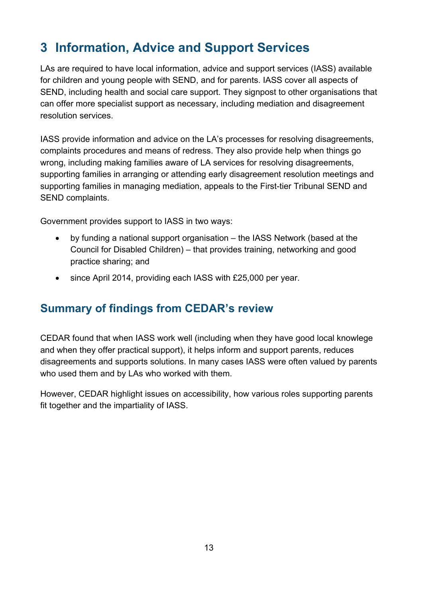# <span id="page-12-0"></span>**3 Information, Advice and Support Services**

LAs are required to have local information, advice and support services (IASS) available for children and young people with SEND, and for parents. IASS cover all aspects of SEND, including health and social care support. They signpost to other organisations that can offer more specialist support as necessary, including mediation and disagreement resolution services.

IASS provide information and advice on the LA's processes for resolving disagreements, complaints procedures and means of redress. They also provide help when things go wrong, including making families aware of LA services for resolving disagreements, supporting families in arranging or attending early disagreement resolution meetings and supporting families in managing mediation, appeals to the First-tier Tribunal SEND and SEND complaints.

Government provides support to IASS in two ways:

- by funding a national support organisation the IASS Network (based at the Council for Disabled Children) – that provides training, networking and good practice sharing; and
- since April 2014, providing each IASS with £25,000 per year.

### <span id="page-12-1"></span>**Summary of findings from CEDAR's review**

CEDAR found that when IASS work well (including when they have good local knowlege and when they offer practical support), it helps inform and support parents, reduces disagreements and supports solutions. In many cases IASS were often valued by parents who used them and by LAs who worked with them.

However, CEDAR highlight issues on accessibility, how various roles supporting parents fit together and the impartiality of IASS.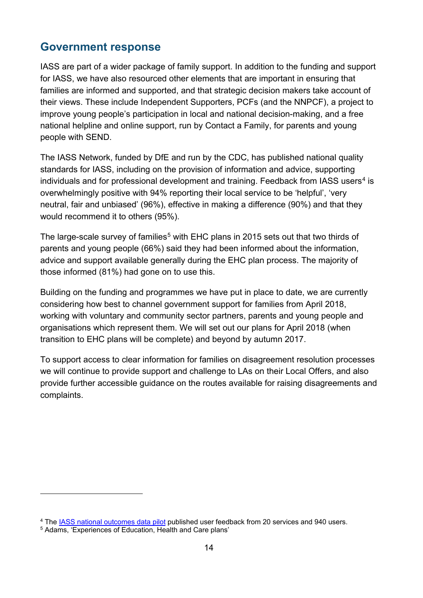<span id="page-13-0"></span>IASS are part of a wider package of family support. In addition to the funding and support for IASS, we have also resourced other elements that are important in ensuring that families are informed and supported, and that strategic decision makers take account of their views. These include Independent Supporters, PCFs (and the NNPCF), a project to improve young people's participation in local and national decision-making, and a free national helpline and online support, run by Contact a Family, for parents and young people with SEND.

The IASS Network, funded by DfE and run by the CDC, has published national quality standards for IASS, including on the provision of information and advice, supporting individuals and for professional development and training. Feedback from IASS users<sup>[4](#page-13-1)</sup> is overwhelmingly positive with 94% reporting their local service to be 'helpful', 'very neutral, fair and unbiased' (96%), effective in making a difference (90%) and that they would recommend it to others (95%).

The large-scale survey of families<sup>[5](#page-13-2)</sup> with EHC plans in 2015 sets out that two thirds of parents and young people (66%) said they had been informed about the information, advice and support available generally during the EHC plan process. The majority of those informed (81%) had gone on to use this.

Building on the funding and programmes we have put in place to date, we are currently considering how best to channel government support for families from April 2018, working with voluntary and community sector partners, parents and young people and organisations which represent them. We will set out our plans for April 2018 (when transition to EHC plans will be complete) and beyond by autumn 2017.

To support access to clear information for families on disagreement resolution processes we will continue to provide support and challenge to LAs on their Local Offers, and also provide further accessible guidance on the routes available for raising disagreements and complaints.

 $\overline{a}$ 

<span id="page-13-1"></span><sup>4</sup> The [IASS national outcomes data pilot](https://councilfordisabledchildren.org.uk/information-advice-and-support-services-network/resources/iass-user-feedback-pilot) published user feedback from 20 services and 940 users.

<span id="page-13-2"></span><sup>5</sup> Adams, 'Experiences of Education, Health and Care plans'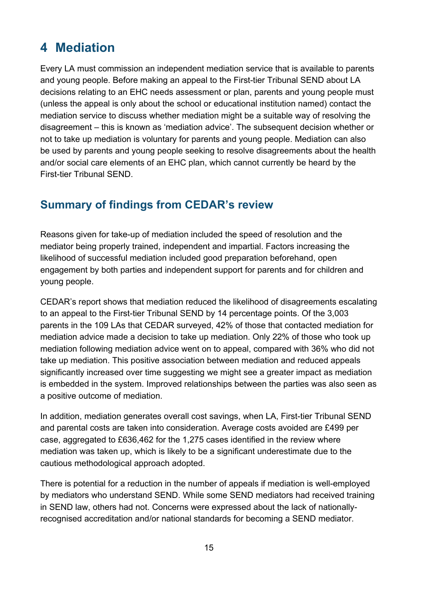# <span id="page-14-0"></span>**4 Mediation**

Every LA must commission an independent mediation service that is available to parents and young people. Before making an appeal to the First-tier Tribunal SEND about LA decisions relating to an EHC needs assessment or plan, parents and young people must (unless the appeal is only about the school or educational institution named) contact the mediation service to discuss whether mediation might be a suitable way of resolving the disagreement – this is known as 'mediation advice'. The subsequent decision whether or not to take up mediation is voluntary for parents and young people. Mediation can also be used by parents and young people seeking to resolve disagreements about the health and/or social care elements of an EHC plan, which cannot currently be heard by the First-tier Tribunal SEND.

#### <span id="page-14-1"></span>**Summary of findings from CEDAR's review**

Reasons given for take-up of mediation included the speed of resolution and the mediator being properly trained, independent and impartial. Factors increasing the likelihood of successful mediation included good preparation beforehand, open engagement by both parties and independent support for parents and for children and young people.

CEDAR's report shows that mediation reduced the likelihood of disagreements escalating to an appeal to the First-tier Tribunal SEND by 14 percentage points. Of the 3,003 parents in the 109 LAs that CEDAR surveyed, 42% of those that contacted mediation for mediation advice made a decision to take up mediation. Only 22% of those who took up mediation following mediation advice went on to appeal, compared with 36% who did not take up mediation. This positive association between mediation and reduced appeals significantly increased over time suggesting we might see a greater impact as mediation is embedded in the system. Improved relationships between the parties was also seen as a positive outcome of mediation.

In addition, mediation generates overall cost savings, when LA, First-tier Tribunal SEND and parental costs are taken into consideration. Average costs avoided are £499 per case, aggregated to £636,462 for the 1,275 cases identified in the review where mediation was taken up, which is likely to be a significant underestimate due to the cautious methodological approach adopted.

There is potential for a reduction in the number of appeals if mediation is well-employed by mediators who understand SEND. While some SEND mediators had received training in SEND law, others had not. Concerns were expressed about the lack of nationallyrecognised accreditation and/or national standards for becoming a SEND mediator.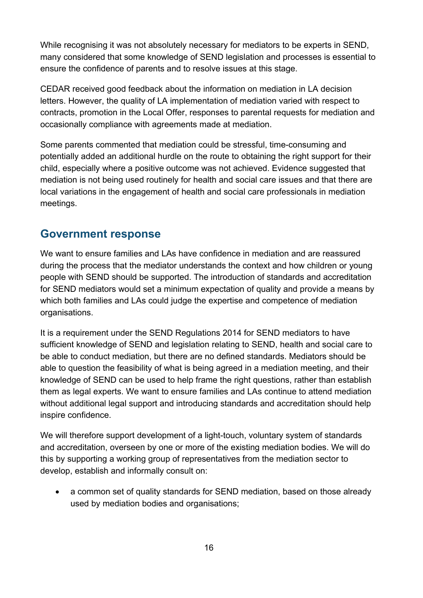While recognising it was not absolutely necessary for mediators to be experts in SEND. many considered that some knowledge of SEND legislation and processes is essential to ensure the confidence of parents and to resolve issues at this stage.

CEDAR received good feedback about the information on mediation in LA decision letters. However, the quality of LA implementation of mediation varied with respect to contracts, promotion in the Local Offer, responses to parental requests for mediation and occasionally compliance with agreements made at mediation.

Some parents commented that mediation could be stressful, time-consuming and potentially added an additional hurdle on the route to obtaining the right support for their child, especially where a positive outcome was not achieved. Evidence suggested that mediation is not being used routinely for health and social care issues and that there are local variations in the engagement of health and social care professionals in mediation meetings.

#### <span id="page-15-0"></span>**Government response**

We want to ensure families and LAs have confidence in mediation and are reassured during the process that the mediator understands the context and how children or young people with SEND should be supported. The introduction of standards and accreditation for SEND mediators would set a minimum expectation of quality and provide a means by which both families and LAs could judge the expertise and competence of mediation organisations.

It is a requirement under the SEND Regulations 2014 for SEND mediators to have sufficient knowledge of SEND and legislation relating to SEND, health and social care to be able to conduct mediation, but there are no defined standards. Mediators should be able to question the feasibility of what is being agreed in a mediation meeting, and their knowledge of SEND can be used to help frame the right questions, rather than establish them as legal experts. We want to ensure families and LAs continue to attend mediation without additional legal support and introducing standards and accreditation should help inspire confidence.

We will therefore support development of a light-touch, voluntary system of standards and accreditation, overseen by one or more of the existing mediation bodies. We will do this by supporting a working group of representatives from the mediation sector to develop, establish and informally consult on:

• a common set of quality standards for SEND mediation, based on those already used by mediation bodies and organisations;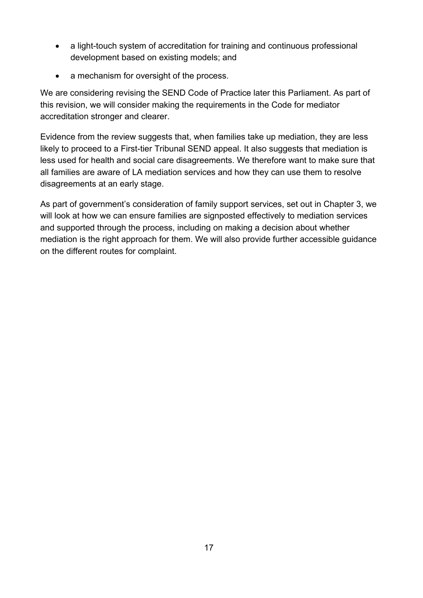- a light-touch system of accreditation for training and continuous professional development based on existing models; and
- a mechanism for oversight of the process.

We are considering revising the SEND Code of Practice later this Parliament. As part of this revision, we will consider making the requirements in the Code for mediator accreditation stronger and clearer.

Evidence from the review suggests that, when families take up mediation, they are less likely to proceed to a First-tier Tribunal SEND appeal. It also suggests that mediation is less used for health and social care disagreements. We therefore want to make sure that all families are aware of LA mediation services and how they can use them to resolve disagreements at an early stage.

As part of government's consideration of family support services, set out in Chapter 3, we will look at how we can ensure families are signposted effectively to mediation services and supported through the process, including on making a decision about whether mediation is the right approach for them. We will also provide further accessible guidance on the different routes for complaint.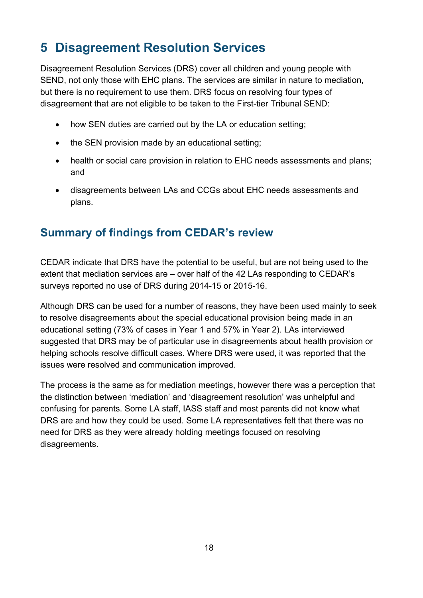# <span id="page-17-0"></span>**5 Disagreement Resolution Services**

Disagreement Resolution Services (DRS) cover all children and young people with SEND, not only those with EHC plans. The services are similar in nature to mediation, but there is no requirement to use them. DRS focus on resolving four types of disagreement that are not eligible to be taken to the First-tier Tribunal SEND:

- how SEN duties are carried out by the LA or education setting;
- the SEN provision made by an educational setting;
- health or social care provision in relation to EHC needs assessments and plans; and
- disagreements between LAs and CCGs about EHC needs assessments and plans.

#### <span id="page-17-1"></span>**Summary of findings from CEDAR's review**

CEDAR indicate that DRS have the potential to be useful, but are not being used to the extent that mediation services are – over half of the 42 LAs responding to CEDAR's surveys reported no use of DRS during 2014-15 or 2015-16.

Although DRS can be used for a number of reasons, they have been used mainly to seek to resolve disagreements about the special educational provision being made in an educational setting (73% of cases in Year 1 and 57% in Year 2). LAs interviewed suggested that DRS may be of particular use in disagreements about health provision or helping schools resolve difficult cases. Where DRS were used, it was reported that the issues were resolved and communication improved.

The process is the same as for mediation meetings, however there was a perception that the distinction between 'mediation' and 'disagreement resolution' was unhelpful and confusing for parents. Some LA staff, IASS staff and most parents did not know what DRS are and how they could be used. Some LA representatives felt that there was no need for DRS as they were already holding meetings focused on resolving disagreements.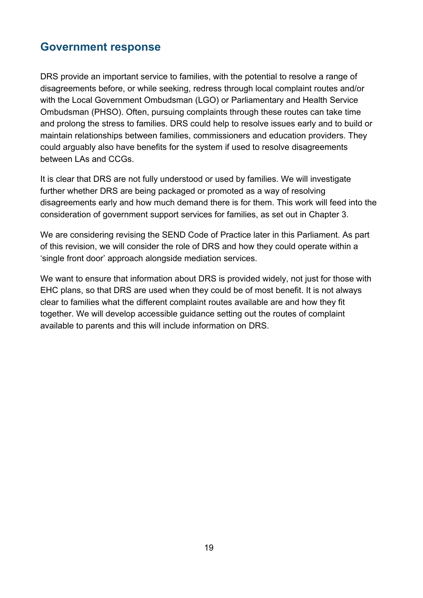<span id="page-18-0"></span>DRS provide an important service to families, with the potential to resolve a range of disagreements before, or while seeking, redress through local complaint routes and/or with the Local Government Ombudsman (LGO) or Parliamentary and Health Service Ombudsman (PHSO). Often, pursuing complaints through these routes can take time and prolong the stress to families. DRS could help to resolve issues early and to build or maintain relationships between families, commissioners and education providers. They could arguably also have benefits for the system if used to resolve disagreements between LAs and CCGs.

It is clear that DRS are not fully understood or used by families. We will investigate further whether DRS are being packaged or promoted as a way of resolving disagreements early and how much demand there is for them. This work will feed into the consideration of government support services for families, as set out in Chapter 3.

We are considering revising the SEND Code of Practice later in this Parliament. As part of this revision, we will consider the role of DRS and how they could operate within a 'single front door' approach alongside mediation services.

We want to ensure that information about DRS is provided widely, not just for those with EHC plans, so that DRS are used when they could be of most benefit. It is not always clear to families what the different complaint routes available are and how they fit together. We will develop accessible guidance setting out the routes of complaint available to parents and this will include information on DRS.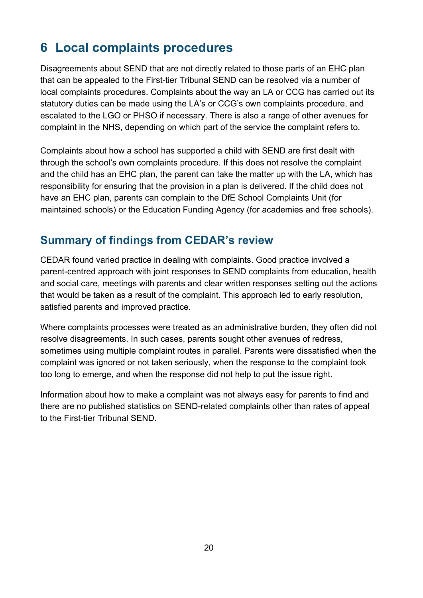# <span id="page-19-0"></span>**6 Local complaints procedures**

Disagreements about SEND that are not directly related to those parts of an EHC plan that can be appealed to the First-tier Tribunal SEND can be resolved via a number of local complaints procedures. Complaints about the way an LA or CCG has carried out its statutory duties can be made using the LA's or CCG's own complaints procedure, and escalated to the LGO or PHSO if necessary. There is also a range of other avenues for complaint in the NHS, depending on which part of the service the complaint refers to.

Complaints about how a school has supported a child with SEND are first dealt with through the school's own complaints procedure. If this does not resolve the complaint and the child has an EHC plan, the parent can take the matter up with the LA, which has responsibility for ensuring that the provision in a plan is delivered. If the child does not have an EHC plan, parents can complain to the DfE School Complaints Unit (for maintained schools) or the Education Funding Agency (for academies and free schools).

#### <span id="page-19-1"></span>**Summary of findings from CEDAR's review**

CEDAR found varied practice in dealing with complaints. Good practice involved a parent-centred approach with joint responses to SEND complaints from education, health and social care, meetings with parents and clear written responses setting out the actions that would be taken as a result of the complaint. This approach led to early resolution, satisfied parents and improved practice.

Where complaints processes were treated as an administrative burden, they often did not resolve disagreements. In such cases, parents sought other avenues of redress, sometimes using multiple complaint routes in parallel. Parents were dissatisfied when the complaint was ignored or not taken seriously, when the response to the complaint took too long to emerge, and when the response did not help to put the issue right.

<span id="page-19-2"></span>Information about how to make a complaint was not always easy for parents to find and there are no published statistics on SEND-related complaints other than rates of appeal to the First-tier Tribunal SEND.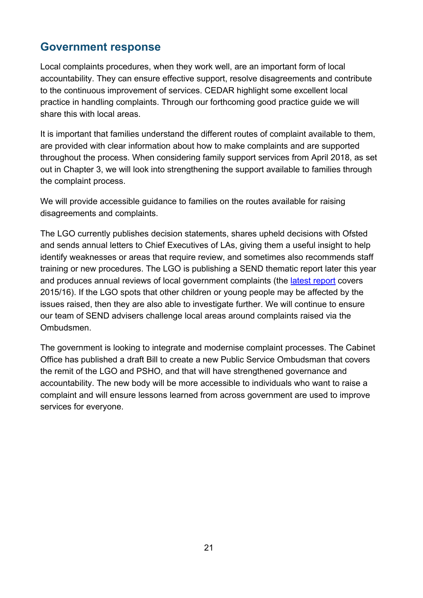Local complaints procedures, when they work well, are an important form of local accountability. They can ensure effective support, resolve disagreements and contribute to the continuous improvement of services. CEDAR highlight some excellent local practice in handling complaints. Through our forthcoming good practice guide we will share this with local areas.

It is important that families understand the different routes of complaint available to them, are provided with clear information about how to make complaints and are supported throughout the process. When considering family support services from April 2018, as set out in Chapter 3, we will look into strengthening the support available to families through the complaint process.

We will provide accessible guidance to families on the routes available for raising disagreements and complaints.

The LGO currently publishes decision statements, shares upheld decisions with Ofsted and sends annual letters to Chief Executives of LAs, giving them a useful insight to help identify weaknesses or areas that require review, and sometimes also recommends staff training or new procedures. The LGO is publishing a SEND thematic report later this year and produces annual reviews of local government complaints (the [latest report](http://www.lgo.org.uk/information-centre/reports/annual-review-reports/local-government-complaint-reviews) covers 2015/16). If the LGO spots that other children or young people may be affected by the issues raised, then they are also able to investigate further. We will continue to ensure our team of SEND advisers challenge local areas around complaints raised via the Ombudsmen.

The government is looking to integrate and modernise complaint processes. The Cabinet Office has published a draft Bill to create a new Public Service Ombudsman that covers the remit of the LGO and PSHO, and that will have strengthened governance and accountability. The new body will be more accessible to individuals who want to raise a complaint and will ensure lessons learned from across government are used to improve services for everyone.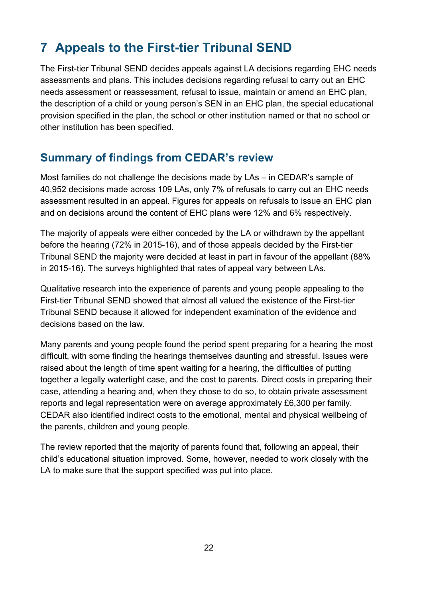# <span id="page-21-0"></span>**7 Appeals to the First-tier Tribunal SEND**

The First-tier Tribunal SEND decides appeals against LA decisions regarding EHC needs assessments and plans. This includes decisions regarding refusal to carry out an EHC needs assessment or reassessment, refusal to issue, maintain or amend an EHC plan, the description of a child or young person's SEN in an EHC plan, the special educational provision specified in the plan, the school or other institution named or that no school or other institution has been specified.

### <span id="page-21-1"></span>**Summary of findings from CEDAR's review**

Most families do not challenge the decisions made by LAs – in CEDAR's sample of 40,952 decisions made across 109 LAs, only 7% of refusals to carry out an EHC needs assessment resulted in an appeal. Figures for appeals on refusals to issue an EHC plan and on decisions around the content of EHC plans were 12% and 6% respectively.

The majority of appeals were either conceded by the LA or withdrawn by the appellant before the hearing (72% in 2015-16), and of those appeals decided by the First-tier Tribunal SEND the majority were decided at least in part in favour of the appellant (88% in 2015-16). The surveys highlighted that rates of appeal vary between LAs.

Qualitative research into the experience of parents and young people appealing to the First-tier Tribunal SEND showed that almost all valued the existence of the First-tier Tribunal SEND because it allowed for independent examination of the evidence and decisions based on the law.

Many parents and young people found the period spent preparing for a hearing the most difficult, with some finding the hearings themselves daunting and stressful. Issues were raised about the length of time spent waiting for a hearing, the difficulties of putting together a legally watertight case, and the cost to parents. Direct costs in preparing their case, attending a hearing and, when they chose to do so, to obtain private assessment reports and legal representation were on average approximately £6,300 per family. CEDAR also identified indirect costs to the emotional, mental and physical wellbeing of the parents, children and young people.

The review reported that the majority of parents found that, following an appeal, their child's educational situation improved. Some, however, needed to work closely with the LA to make sure that the support specified was put into place.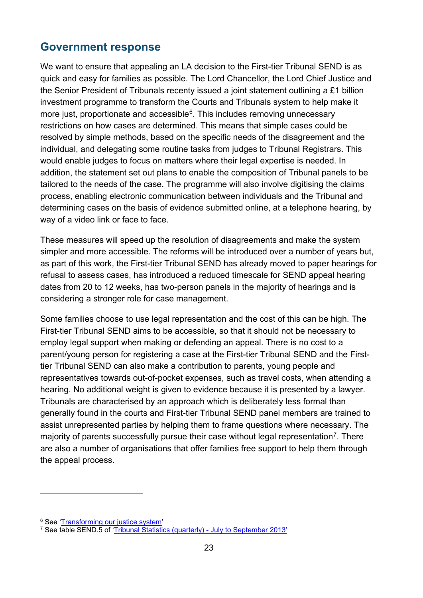<span id="page-22-0"></span>We want to ensure that appealing an LA decision to the First-tier Tribunal SEND is as quick and easy for families as possible. The Lord Chancellor, the Lord Chief Justice and the Senior President of Tribunals recenty issued a joint statement outlining a £1 billion investment programme to transform the Courts and Tribunals system to help make it more just, proportionate and accessible $6$ . This includes removing unnecessary restrictions on how cases are determined. This means that simple cases could be resolved by simple methods, based on the specific needs of the disagreement and the individual, and delegating some routine tasks from judges to Tribunal Registrars. This would enable judges to focus on matters where their legal expertise is needed. In addition, the statement set out plans to enable the composition of Tribunal panels to be tailored to the needs of the case. The programme will also involve digitising the claims process, enabling electronic communication between individuals and the Tribunal and determining cases on the basis of evidence submitted online, at a telephone hearing, by way of a video link or face to face.

These measures will speed up the resolution of disagreements and make the system simpler and more accessible. The reforms will be introduced over a number of years but, as part of this work, the First-tier Tribunal SEND has already moved to paper hearings for refusal to assess cases, has introduced a reduced timescale for SEND appeal hearing dates from 20 to 12 weeks, has two-person panels in the majority of hearings and is considering a stronger role for case management.

Some families choose to use legal representation and the cost of this can be high. The First-tier Tribunal SEND aims to be accessible, so that it should not be necessary to employ legal support when making or defending an appeal. There is no cost to a parent/young person for registering a case at the First-tier Tribunal SEND and the Firsttier Tribunal SEND can also make a contribution to parents, young people and representatives towards out-of-pocket expenses, such as travel costs, when attending a hearing. No additional weight is given to evidence because it is presented by a lawyer. Tribunals are characterised by an approach which is deliberately less formal than generally found in the courts and First-tier Tribunal SEND panel members are trained to assist unrepresented parties by helping them to frame questions where necessary. The majority of parents successfully pursue their case without legal representation<sup>7</sup>. There are also a number of organisations that offer families free support to help them through the appeal process.

 $\overline{a}$ 

<sup>6</sup> See ['Transforming our justice system'](http://www.gov.uk/government/publications/transforming-our-justice-system-joint-statement) 

<span id="page-22-2"></span><span id="page-22-1"></span><sup>7</sup> See table SEND.5 of ['Tribunal Statistics \(quarterly\) - July to September 2013'](http://www.gov.uk/government/statistics/tribunal-statistics-quarterly-july-to-september-2013)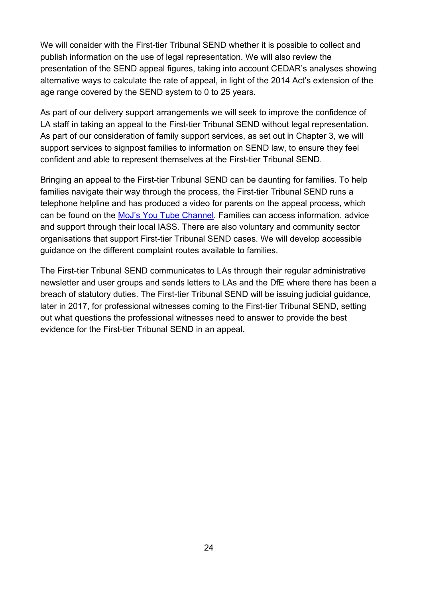We will consider with the First-tier Tribunal SEND whether it is possible to collect and publish information on the use of legal representation. We will also review the presentation of the SEND appeal figures, taking into account CEDAR's analyses showing alternative ways to calculate the rate of appeal, in light of the 2014 Act's extension of the age range covered by the SEND system to 0 to 25 years.

As part of our delivery support arrangements we will seek to improve the confidence of LA staff in taking an appeal to the First-tier Tribunal SEND without legal representation. As part of our consideration of family support services, as set out in Chapter 3, we will support services to signpost families to information on SEND law, to ensure they feel confident and able to represent themselves at the First-tier Tribunal SEND.

Bringing an appeal to the First-tier Tribunal SEND can be daunting for families. To help families navigate their way through the process, the First-tier Tribunal SEND runs a telephone helpline and has produced a video for parents on the appeal process, which can be found on the [MoJ's You Tube Channel.](https://www.youtube.com/watch?v=rTNx8tp6EDI) Families can access information, advice and support through their local IASS. There are also voluntary and community sector organisations that support First-tier Tribunal SEND cases. We will develop accessible guidance on the different complaint routes available to families.

The First-tier Tribunal SEND communicates to LAs through their regular administrative newsletter and user groups and sends letters to LAs and the DfE where there has been a breach of statutory duties. The First-tier Tribunal SEND will be issuing judicial guidance, later in 2017, for professional witnesses coming to the First-tier Tribunal SEND, setting out what questions the professional witnesses need to answer to provide the best evidence for the First-tier Tribunal SEND in an appeal.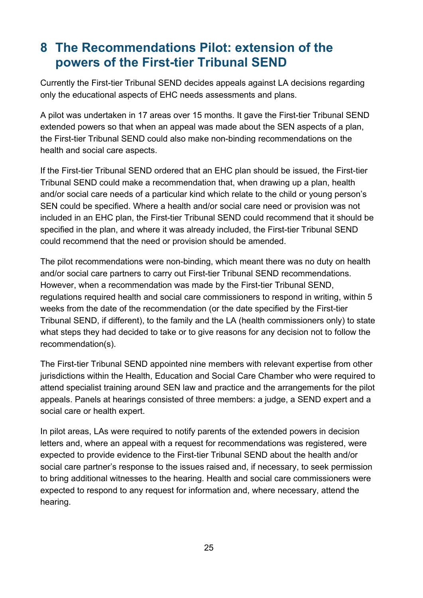# <span id="page-24-0"></span>**8 The Recommendations Pilot: extension of the powers of the First-tier Tribunal SEND**

Currently the First-tier Tribunal SEND decides appeals against LA decisions regarding only the educational aspects of EHC needs assessments and plans.

A pilot was undertaken in 17 areas over 15 months. It gave the First-tier Tribunal SEND extended powers so that when an appeal was made about the SEN aspects of a plan, the First-tier Tribunal SEND could also make non-binding recommendations on the health and social care aspects.

If the First-tier Tribunal SEND ordered that an EHC plan should be issued, the First-tier Tribunal SEND could make a recommendation that, when drawing up a plan, health and/or social care needs of a particular kind which relate to the child or young person's SEN could be specified. Where a health and/or social care need or provision was not included in an EHC plan, the First-tier Tribunal SEND could recommend that it should be specified in the plan, and where it was already included, the First-tier Tribunal SEND could recommend that the need or provision should be amended.

The pilot recommendations were non-binding, which meant there was no duty on health and/or social care partners to carry out First-tier Tribunal SEND recommendations. However, when a recommendation was made by the First-tier Tribunal SEND, regulations required health and social care commissioners to respond in writing, within 5 weeks from the date of the recommendation (or the date specified by the First-tier Tribunal SEND, if different), to the family and the LA (health commissioners only) to state what steps they had decided to take or to give reasons for any decision not to follow the recommendation(s).

The First-tier Tribunal SEND appointed nine members with relevant expertise from other jurisdictions within the Health, Education and Social Care Chamber who were required to attend specialist training around SEN law and practice and the arrangements for the pilot appeals. Panels at hearings consisted of three members: a judge, a SEND expert and a social care or health expert.

In pilot areas, LAs were required to notify parents of the extended powers in decision letters and, where an appeal with a request for recommendations was registered, were expected to provide evidence to the First-tier Tribunal SEND about the health and/or social care partner's response to the issues raised and, if necessary, to seek permission to bring additional witnesses to the hearing. Health and social care commissioners were expected to respond to any request for information and, where necessary, attend the hearing.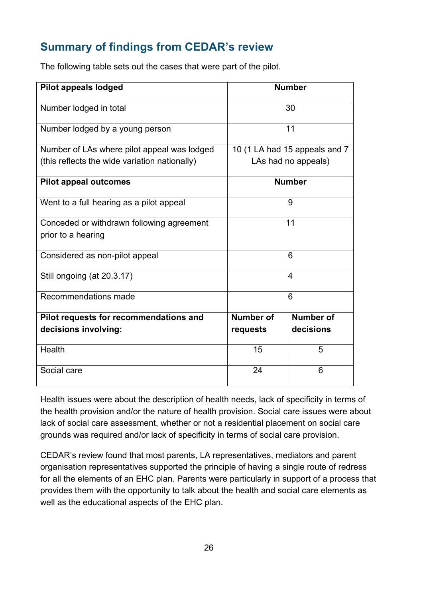### <span id="page-25-0"></span>**Summary of findings from CEDAR's review**

The following table sets out the cases that were part of the pilot.

| Pilot appeals lodged                          | <b>Number</b>                 |                  |
|-----------------------------------------------|-------------------------------|------------------|
| Number lodged in total                        | 30                            |                  |
| Number lodged by a young person               | 11                            |                  |
| Number of LAs where pilot appeal was lodged   | 10 (1 LA had 15 appeals and 7 |                  |
| (this reflects the wide variation nationally) | LAs had no appeals)           |                  |
| <b>Pilot appeal outcomes</b>                  | <b>Number</b>                 |                  |
| Went to a full hearing as a pilot appeal      | 9                             |                  |
| Conceded or withdrawn following agreement     | 11                            |                  |
| prior to a hearing                            |                               |                  |
| Considered as non-pilot appeal                | 6                             |                  |
| Still ongoing (at 20.3.17)                    | $\overline{4}$                |                  |
| Recommendations made                          | 6                             |                  |
| Pilot requests for recommendations and        | <b>Number of</b>              | <b>Number of</b> |
| decisions involving:                          | requests                      | decisions        |
| Health                                        | 15                            | 5                |
| Social care                                   | 24                            | 6                |

Health issues were about the description of health needs, lack of specificity in terms of the health provision and/or the nature of health provision. Social care issues were about lack of social care assessment, whether or not a residential placement on social care grounds was required and/or lack of specificity in terms of social care provision.

CEDAR's review found that most parents, LA representatives, mediators and parent organisation representatives supported the principle of having a single route of redress for all the elements of an EHC plan. Parents were particularly in support of a process that provides them with the opportunity to talk about the health and social care elements as well as the educational aspects of the EHC plan.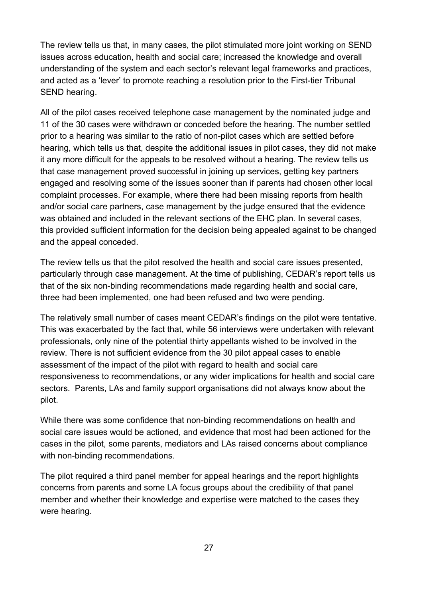The review tells us that, in many cases, the pilot stimulated more joint working on SEND issues across education, health and social care; increased the knowledge and overall understanding of the system and each sector's relevant legal frameworks and practices, and acted as a 'lever' to promote reaching a resolution prior to the First-tier Tribunal SEND hearing.

All of the pilot cases received telephone case management by the nominated judge and 11 of the 30 cases were withdrawn or conceded before the hearing. The number settled prior to a hearing was similar to the ratio of non-pilot cases which are settled before hearing, which tells us that, despite the additional issues in pilot cases, they did not make it any more difficult for the appeals to be resolved without a hearing. The review tells us that case management proved successful in joining up services, getting key partners engaged and resolving some of the issues sooner than if parents had chosen other local complaint processes. For example, where there had been missing reports from health and/or social care partners, case management by the judge ensured that the evidence was obtained and included in the relevant sections of the EHC plan. In several cases, this provided sufficient information for the decision being appealed against to be changed and the appeal conceded.

The review tells us that the pilot resolved the health and social care issues presented, particularly through case management. At the time of publishing, CEDAR's report tells us that of the six non-binding recommendations made regarding health and social care, three had been implemented, one had been refused and two were pending.

The relatively small number of cases meant CEDAR's findings on the pilot were tentative. This was exacerbated by the fact that, while 56 interviews were undertaken with relevant professionals, only nine of the potential thirty appellants wished to be involved in the review. There is not sufficient evidence from the 30 pilot appeal cases to enable assessment of the impact of the pilot with regard to health and social care responsiveness to recommendations, or any wider implications for health and social care sectors. Parents, LAs and family support organisations did not always know about the pilot.

While there was some confidence that non-binding recommendations on health and social care issues would be actioned, and evidence that most had been actioned for the cases in the pilot, some parents, mediators and LAs raised concerns about compliance with non-binding recommendations.

The pilot required a third panel member for appeal hearings and the report highlights concerns from parents and some LA focus groups about the credibility of that panel member and whether their knowledge and expertise were matched to the cases they were hearing.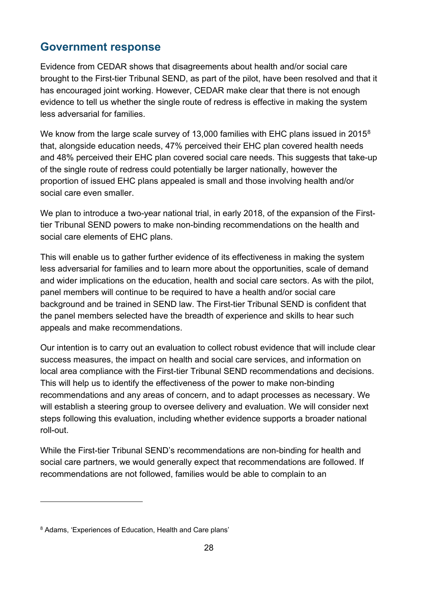<span id="page-27-0"></span>Evidence from CEDAR shows that disagreements about health and/or social care brought to the First-tier Tribunal SEND, as part of the pilot, have been resolved and that it has encouraged joint working. However, CEDAR make clear that there is not enough evidence to tell us whether the single route of redress is effective in making the system less adversarial for families.

We know from the large scale survey of 13,000 families with EHC plans issued in 2015<sup>[8](#page-27-1)</sup> that, alongside education needs, 47% perceived their EHC plan covered health needs and 48% perceived their EHC plan covered social care needs. This suggests that take-up of the single route of redress could potentially be larger nationally, however the proportion of issued EHC plans appealed is small and those involving health and/or social care even smaller.

We plan to introduce a two-year national trial, in early 2018, of the expansion of the Firsttier Tribunal SEND powers to make non-binding recommendations on the health and social care elements of EHC plans.

This will enable us to gather further evidence of its effectiveness in making the system less adversarial for families and to learn more about the opportunities, scale of demand and wider implications on the education, health and social care sectors. As with the pilot, panel members will continue to be required to have a health and/or social care background and be trained in SEND law. The First-tier Tribunal SEND is confident that the panel members selected have the breadth of experience and skills to hear such appeals and make recommendations.

Our intention is to carry out an evaluation to collect robust evidence that will include clear success measures, the impact on health and social care services, and information on local area compliance with the First-tier Tribunal SEND recommendations and decisions. This will help us to identify the effectiveness of the power to make non-binding recommendations and any areas of concern, and to adapt processes as necessary. We will establish a steering group to oversee delivery and evaluation. We will consider next steps following this evaluation, including whether evidence supports a broader national roll-out.

While the First-tier Tribunal SEND's recommendations are non-binding for health and social care partners, we would generally expect that recommendations are followed. If recommendations are not followed, families would be able to complain to an

 $\overline{a}$ 

<span id="page-27-1"></span><sup>8</sup> Adams, 'Experiences of Education, Health and Care plans'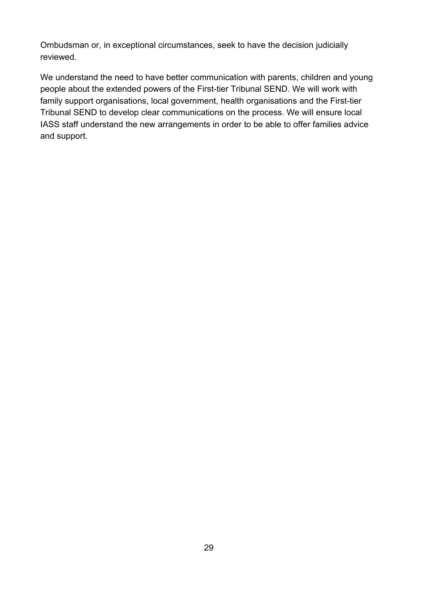Ombudsman or, in exceptional circumstances, seek to have the decision judicially reviewed.

We understand the need to have better communication with parents, children and young people about the extended powers of the First-tier Tribunal SEND. We will work with family support organisations, local government, health organisations and the First-tier Tribunal SEND to develop clear communications on the process. We will ensure local IASS staff understand the new arrangements in order to be able to offer families advice and support.